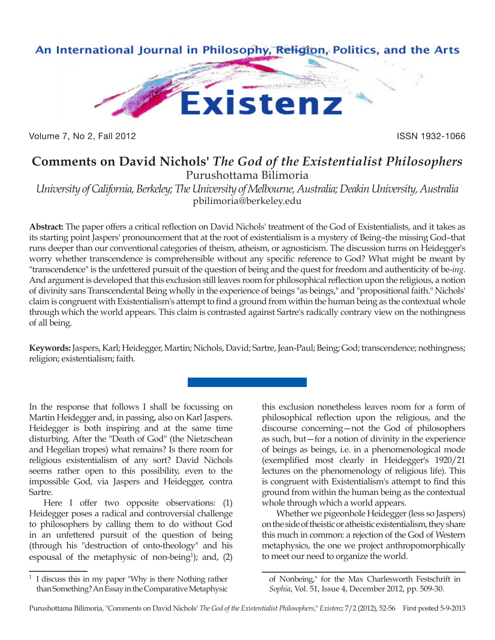

Volume 7, No 2, Fall 2012 **ISSN 1932-1066** 

## **Comments on David Nichols'** *The God of the Existentialist Philosophers* Purushottama Bilimoria

*University of California, Berkeley; The University of Melbourne, Australia; Deakin University, Australia* pbilimoria@berkeley.edu

**Abstract:** The paper offers a critical reflection on David Nichols' treatment of the God of Existentialists, and it takes as its starting point Jaspers' pronouncement that at the root of existentialism is a mystery of Being–the missing God–that runs deeper than our conventional categories of theism, atheism, or agnosticism. The discussion turns on Heidegger's worry whether transcendence is comprehensible without any specific reference to God? What might be meant by "transcendence" is the unfettered pursuit of the question of being and the quest for freedom and authenticity of be-*ing*. And argument is developed that this exclusion still leaves room for philosophical reflection upon the religious, a notion of divinity sans Transcendental Being wholly in the experience of beings "as beings," and "propositional faith." Nichols' claim is congruent with Existentialism's attempt to find a ground from within the human being as the contextual whole through which the world appears. This claim is contrasted against Sartre's radically contrary view on the nothingness of all being.

**Keywords:** Jaspers, Karl; Heidegger, Martin; Nichols, David; Sartre, Jean-Paul; Being; God; transcendence; nothingness; religion; existentialism; faith.

In the response that follows I shall be focussing on Martin Heidegger and, in passing, also on Karl Jaspers. Heidegger is both inspiring and at the same time disturbing. After the "Death of God" (the Nietzschean and Hegelian tropes) what remains? Is there room for religious existentialism of any sort? David Nichols seems rather open to this possibility, even to the impossible God, via Jaspers and Heidegger, contra Sartre.

Here I offer two opposite observations: (1) Heidegger poses a radical and controversial challenge to philosophers by calling them to do without God in an unfettered pursuit of the question of being (through his "destruction of onto-theology" and his espousal of the metaphysic of non-being<sup>1</sup>); and,  $(2)$  this exclusion nonetheless leaves room for a form of philosophical reflection upon the religious, and the discourse concerning—not the God of philosophers as such, but—for a notion of divinity in the experience of beings as beings, i.e. in a phenomenological mode (exemplified most clearly in Heidegger's 1920/21 lectures on the phenomenology of religious life). This is congruent with Existentialism's attempt to find this ground from within the human being as the contextual whole through which a world appears.

Whether we pigeonhole Heidegger (less so Jaspers) on the side of theistic or atheistic existentialism, they share this much in common: a rejection of the God of Western metaphysics, the one we project anthropomorphically to meet our need to organize the world.

<sup>1</sup> I discuss this in my paper "Why is there Nothing rather than Something? An Essay in the Comparative Metaphysic

of Nonbeing," for the Max Charlesworth Festschrift in *Sophia*, Vol. 51, Issue 4, December 2012, pp. 509-30.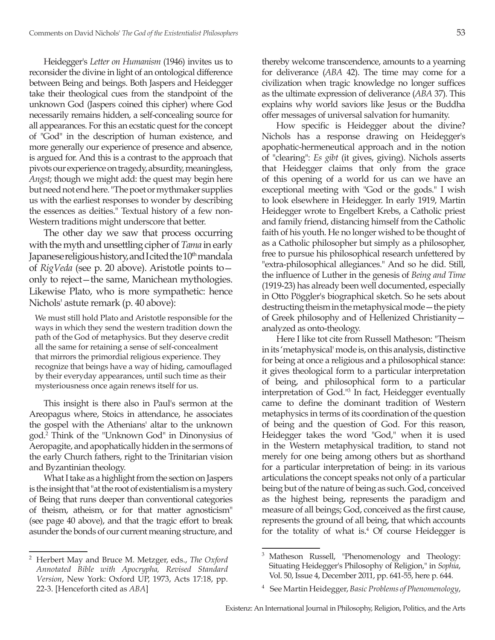Heidegger's *Letter on Humanism* (1946) invites us to reconsider the divine in light of an ontological difference between Being and beings. Both Jaspers and Heidegger take their theological cues from the standpoint of the unknown God (Jaspers coined this cipher) where God necessarily remains hidden, a self-concealing source for all appearances. For this an ecstatic quest for the concept of "God" in the description of human existence, and more generally our experience of presence and absence, is argued for. And this is a contrast to the approach that pivots our experience on tragedy, absurdity, meaningless, *Angst*; though we might add: the quest may begin here but need not end here. "The poet or mythmaker supplies us with the earliest responses to wonder by describing the essences as deities." Textual history of a few non-Western traditions might underscore that better.

The other day we saw that process occurring with the myth and unsettling cipher of *Tama* in early Japanese religious history, and I cited the  $10<sup>th</sup>$  mandala of *RigVeda* (see p. 20 above). Aristotle points to only to reject—the same, Manichean mythologies. Likewise Plato, who is more sympathetic: hence Nichols' astute remark (p. 40 above):

We must still hold Plato and Aristotle responsible for the ways in which they send the western tradition down the path of the God of metaphysics. But they deserve credit all the same for retaining a sense of self-concealment that mirrors the primordial religious experience. They recognize that beings have a way of hiding, camouflaged by their everyday appearances, until such time as their mysteriousness once again renews itself for us.

This insight is there also in Paul's sermon at the Areopagus where, Stoics in attendance, he associates the gospel with the Athenians' altar to the unknown god.2 Think of the "Unknown God" in Dinonysius of Aeropagite, and apophatically hidden in the sermons of the early Church fathers, right to the Trinitarian vision and Byzantinian theology.

What I take as a highlight from the section on Jaspers is the insight that "at the root of existentialism is a mystery of Being that runs deeper than conventional categories of theism, atheism, or for that matter agnosticism" (see page 40 above), and that the tragic effort to break asunder the bonds of our current meaning structure, and thereby welcome transcendence, amounts to a yearning for deliverance (*ABA* 42). The time may come for a civilization when tragic knowledge no longer suffices as the ultimate expression of deliverance (*ABA* 37). This explains why world saviors like Jesus or the Buddha offer messages of universal salvation for humanity.

How specific is Heidegger about the divine? Nichols has a response drawing on Heidegger's apophatic-hermeneutical approach and in the notion of "clearing": *Es gibt* (it gives, giving). Nichols asserts that Heidegger claims that only from the grace of this opening of a world for us can we have an exceptional meeting with "God or the gods." I wish to look elsewhere in Heidegger. In early 1919, Martin Heidegger wrote to Engelbert Krebs, a Catholic priest and family friend, distancing himself from the Catholic faith of his youth. He no longer wished to be thought of as a Catholic philosopher but simply as a philosopher, free to pursue his philosophical research unfettered by "extra-philosophical allegiances." And so he did. Still, the influence of Luther in the genesis of *Being and Time* (1919-23) has already been well documented, especially in Otto Pöggler's biographical sketch. So he sets about destructing theism in the metaphysical mode—the piety of Greek philosophy and of Hellenized Christianity analyzed as onto-theology.

Here I like tot cite from Russell Matheson: "Theism in its 'metaphysical' mode is, on this analysis, distinctive for being at once a religious and a philosophical stance: it gives theological form to a particular interpretation of being, and philosophical form to a particular interpretation of God."3 In fact, Heidegger eventually came to define the dominant tradition of Western metaphysics in terms of its coordination of the question of being and the question of God. For this reason, Heidegger takes the word "God," when it is used in the Western metaphysical tradition, to stand not merely for one being among others but as shorthand for a particular interpretation of being: in its various articulations the concept speaks not only of a particular being but of the nature of being as such. God, conceived as the highest being, represents the paradigm and measure of all beings; God, conceived as the first cause, represents the ground of all being, that which accounts for the totality of what is. $4$  Of course Heidegger is

<sup>2</sup> Herbert May and Bruce M. Metzger, eds., *The Oxford Annotated Bible with Apocrypha, Revised Standard Version*, New York: Oxford UP, 1973, Acts 17:18, pp. 22-3. [Henceforth cited as *ABA*]

<sup>3</sup> Matheson Russell, "Phenomenology and Theology: Situating Heidegger's Philosophy of Religion," in *Sophia*, Vol. 50, Issue 4, December 2011, pp. 641-55, here p. 644.

<sup>4</sup> See Martin Heidegger, *Basic Problems of Phenomenology*,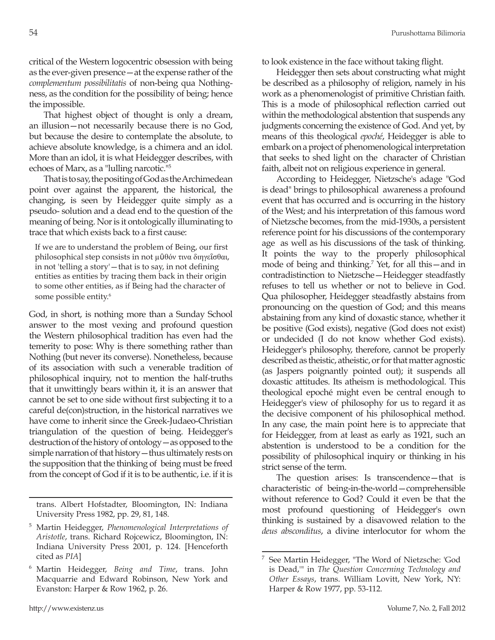critical of the Western logocentric obsession with being as the ever-given presence—at the expense rather of the *complementum possibilitatis* of non-being qua Nothingness, as the condition for the possibility of being; hence the impossible.

That highest object of thought is only a dream, an illusion—not necessarily because there is no God, but because the desire to contemplate the absolute, to achieve absolute knowledge, is a chimera and an idol. More than an idol, it is what Heidegger describes, with echoes of Marx, as a "lulling narcotic."5

That is to say, the positing of God as the Archimedean point over against the apparent, the historical, the changing, is seen by Heidegger quite simply as a pseudo- solution and a dead end to the question of the meaning of being. Nor is it ontologically illuminating to trace that which exists back to a first cause:

If we are to understand the problem of Being, our first philosophical step consists in not µῦθόν τινα διηγεῖσθαι, in not 'telling a story'—that is to say, in not defining entities as entities by tracing them back in their origin to some other entities, as if Being had the character of some possible entity.<sup>6</sup>

God, in short, is nothing more than a Sunday School answer to the most vexing and profound question the Western philosophical tradition has even had the temerity to pose: Why is there something rather than Nothing (but never its converse). Nonetheless, because of its association with such a venerable tradition of philosophical inquiry, not to mention the half-truths that it unwittingly bears within it, it is an answer that cannot be set to one side without first subjecting it to a careful de(con)struction, in the historical narratives we have come to inherit since the Greek-Judaeo-Christian triangulation of the question of being. Heidegger's destruction of the history of ontology—as opposed to the simple narration of that history—thus ultimately rests on the supposition that the thinking of being must be freed from the concept of God if it is to be authentic, i.e. if it is

trans. Albert Hofstadter, Bloomington, IN: Indiana University Press 1982, pp. 29, 81, 148.

to look existence in the face without taking flight.

Heidegger then sets about constructing what might be described as a philosophy of religion, namely in his work as a phenomenologist of primitive Christian faith. This is a mode of philosophical reflection carried out within the methodological abstention that suspends any judgments concerning the existence of God. And yet, by means of this theological *epoché*, Heidegger is able to embark on a project of phenomenological interpretation that seeks to shed light on the character of Christian faith, albeit not on religious experience in general.

According to Heidegger, Nietzsche's adage "God is dead" brings to philosophical awareness a profound event that has occurred and is occurring in the history of the West; and his interpretation of this famous word of Nietzsche becomes, from the mid-1930s, a persistent reference point for his discussions of the contemporary age as well as his discussions of the task of thinking. It points the way to the properly philosophical mode of being and thinking.7 Yet, for all this—and in contradistinction to Nietzsche—Heidegger steadfastly refuses to tell us whether or not to believe in God. Qua philosopher, Heidegger steadfastly abstains from pronouncing on the question of God; and this means abstaining from any kind of doxastic stance, whether it be positive (God exists), negative (God does not exist) or undecided (I do not know whether God exists). Heidegger's philosophy, therefore, cannot be properly described as theistic, atheistic, or for that matter agnostic (as Jaspers poignantly pointed out); it suspends all doxastic attitudes. Its atheism is methodological. This theological epoché might even be central enough to Heidegger's view of philosophy for us to regard it as the decisive component of his philosophical method. In any case, the main point here is to appreciate that for Heidegger, from at least as early as 1921, such an abstention is understood to be a condition for the possibility of philosophical inquiry or thinking in his strict sense of the term.

The question arises: Is transcendence—that is characteristic of being-in-the-world—comprehensible without reference to God? Could it even be that the most profound questioning of Heidegger's own thinking is sustained by a disavowed relation to the *deus absconditus*, a divine interlocutor for whom the

<sup>5</sup> Martin Heidegger, *Phenomenological Interpretations of Aristotle*, trans. Richard Rojcewicz, Bloomington, IN: Indiana University Press 2001, p. 124. [Henceforth cited as *PIA*]

<sup>6</sup> Martin Heidegger, *Being and Time*, trans. John Macquarrie and Edward Robinson, New York and Evanston: Harper & Row 1962, p. 26.

<sup>7</sup> See Martin Heidegger, "The Word of Nietzsche: 'God is Dead,'" in *The Question Concerning Technology and Other Essays*, trans. William Lovitt, New York, NY: Harper & Row 1977, pp. 53-112.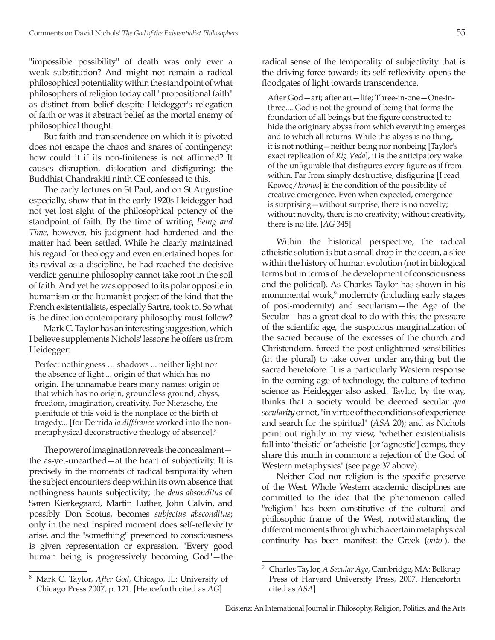"impossible possibility" of death was only ever a weak substitution? And might not remain a radical philosophical potentiality within the standpoint of what philosophers of religion today call "propositional faith" as distinct from belief despite Heidegger's relegation of faith or was it abstract belief as the mortal enemy of philosophical thought.

But faith and transcendence on which it is pivoted does not escape the chaos and snares of contingency: how could it if its non-finiteness is not affirmed? It causes disruption, dislocation and disfiguring; the Buddhist Chandrakiti ninth CE confessed to this.

The early lectures on St Paul, and on St Augustine especially, show that in the early 1920s Heidegger had not yet lost sight of the philosophical potency of the standpoint of faith. By the time of writing *Being and Time*, however, his judgment had hardened and the matter had been settled. While he clearly maintained his regard for theology and even entertained hopes for its revival as a discipline, he had reached the decisive verdict: genuine philosophy cannot take root in the soil of faith. And yet he was opposed to its polar opposite in humanism or the humanist project of the kind that the French existentialists, especially Sartre, took to. So what is the direction contemporary philosophy must follow?

Mark C. Taylor has an interesting suggestion, which I believe supplements Nichols' lessons he offers us from Heidegger:

Perfect nothingness … shadows ... neither light nor the absence of light ... origin of that which has no origin. The unnamable bears many names: origin of that which has no origin, groundless ground, abyss, freedom, imagination, creativity. For Nietzsche, the plenitude of this void is the nonplace of the birth of tragedy... [for Derrida *la différance* worked into the nonmetaphysical deconstructive theology of absence].8

The power of imagination reveals the concealment the as-yet-unearthed—at the heart of subjectivity. It is precisely in the moments of radical temporality when the subject encounters deep within its own absence that nothingness haunts subjectivity; the *deus absonditus* of Søren Kierkegaard, Martin Luther, John Calvin, and possibly Don Scotus, becomes *subjectus absconditus*; only in the next inspired moment does self-reflexivity arise, and the "something" presenced to consciousness is given representation or expression. "Every good human being is progressively becoming God"—the radical sense of the temporality of subjectivity that is the driving force towards its self-reflexivity opens the floodgates of light towards transcendence.

After God—art; after art—life; Three-in-one—One-inthree.... God is not the ground of being that forms the foundation of all beings but the figure constructed to hide the originary abyss from which everything emerges and to which all returns. While this abyss is no thing, it is not nothing—neither being nor nonbeing [Taylor's exact replication of *Rig Veda*], it is the anticipatory wake of the unfigurable that disfigures every figure as if from within. Far from simply destructive, disfiguring [I read Κρονος */ kronos*] is the condition of the possibility of creative emergence. Even when expected, emergence is surprising—without surprise, there is no novelty; without novelty, there is no creativity; without creativity, there is no life. [*AG* 345]

Within the historical perspective, the radical atheistic solution is but a small drop in the ocean, a slice within the history of human evolution (not in biological terms but in terms of the development of consciousness and the political). As Charles Taylor has shown in his monumental work,<sup>9</sup> modernity (including early stages of post-modernity) and secularism—the Age of the Secular—has a great deal to do with this; the pressure of the scientific age, the suspicious marginalization of the sacred because of the excesses of the church and Christendom, forced the post-enlightened sensibilities (in the plural) to take cover under anything but the sacred heretofore. It is a particularly Western response in the coming age of technology, the culture of techno science as Heidegger also asked. Taylor, by the way, thinks that a society would be deemed secular *qua secularity* or not, "in virtue of the conditions of experience and search for the spiritual" (*ASA* 20); and as Nichols point out rightly in my view, "whether existentialists fall into 'theistic' or 'atheistic' [or 'agnostic'] camps, they share this much in common: a rejection of the God of Western metaphysics" (see page 37 above).

Neither God nor religion is the specific preserve of the West. Whole Western academic disciplines are committed to the idea that the phenomenon called "religion" has been constitutive of the cultural and philosophic frame of the West, notwithstanding the different moments through which a certain metaphysical continuity has been manifest: the Greek (*onto*-), the

<sup>8</sup> Mark C. Taylor, *After God*, Chicago, IL: University of Chicago Press 2007, p. 121. [Henceforth cited as *AG*]

<sup>9</sup> Charles Taylor, *A Secular Age*, Cambridge, MA: Belknap Press of Harvard University Press, 2007. Henceforth cited as *ASA*]